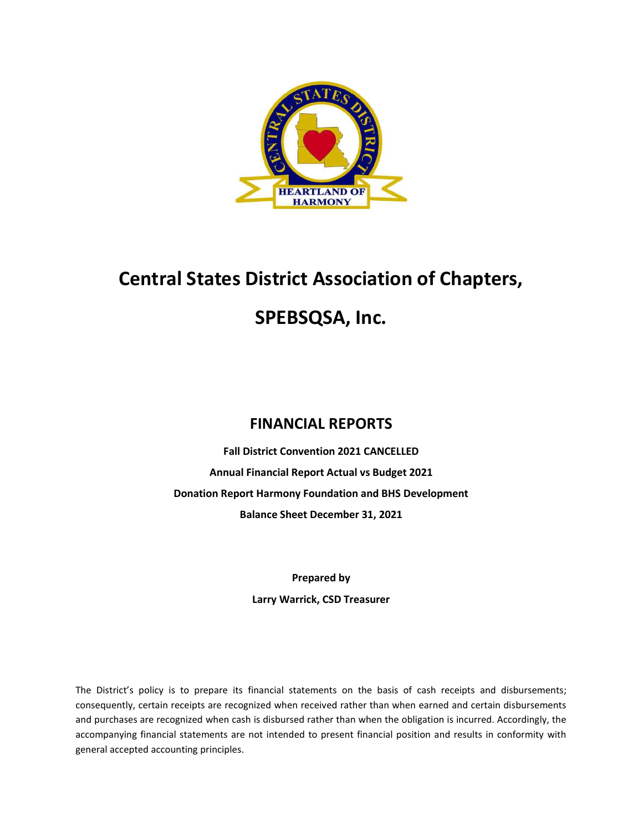

# Central States District Association of Chapters, SPEBSQSA, Inc.

## FINANCIAL REPORTS

Fall District Convention 2021 CANCELLED Annual Financial Report Actual vs Budget 2021 Donation Report Harmony Foundation and BHS Development Balance Sheet December 31, 2021

> Prepared by Larry Warrick, CSD Treasurer

The District's policy is to prepare its financial statements on the basis of cash receipts and disbursements; consequently, certain receipts are recognized when received rather than when earned and certain disbursements and purchases are recognized when cash is disbursed rather than when the obligation is incurred. Accordingly, the accompanying financial statements are not intended to present financial position and results in conformity with general accepted accounting principles.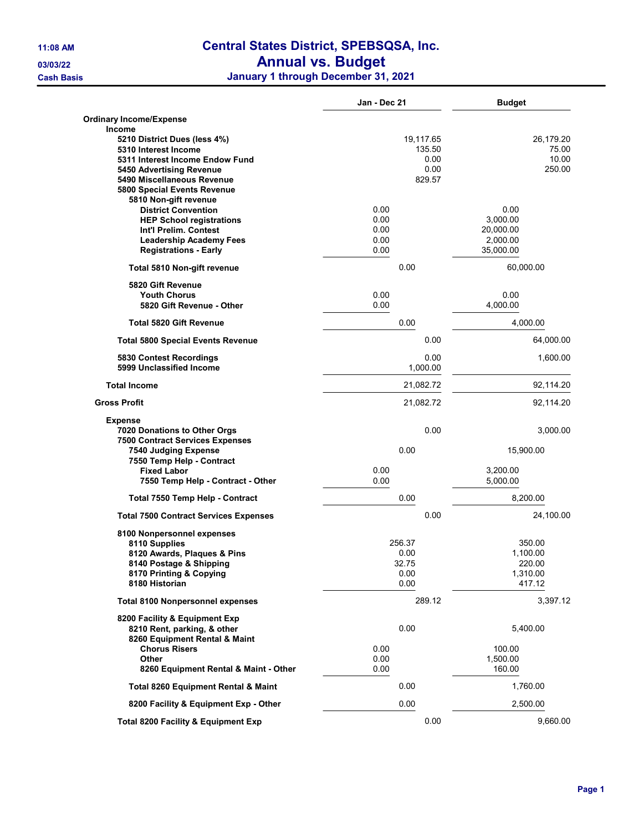## 11:08 AM Central States District, SPEBSQSA, Inc.

#### 03/03/22 **Annual vs. Budget**

Cash Basis January 1 through December 31, 2021

|                                                              | Jan - Dec 21     | <b>Budget</b>      |
|--------------------------------------------------------------|------------------|--------------------|
| Ordinary Income/Expense                                      |                  |                    |
| Income                                                       |                  |                    |
| 5210 District Dues (less 4%)                                 | 19,117.65        | 26,179.20          |
| 5310 Interest Income                                         | 135.50           | 75.00<br>10.00     |
| 5311 Interest Income Endow Fund                              | 0.00             |                    |
| 5450 Advertising Revenue<br>5490 Miscellaneous Revenue       | 0.00<br>829.57   | 250.00             |
| 5800 Special Events Revenue                                  |                  |                    |
| 5810 Non-gift revenue                                        |                  |                    |
| <b>District Convention</b>                                   | 0.00             | 0.00               |
| <b>HEP School registrations</b>                              | 0.00             | 3,000.00           |
| Int'l Prelim. Contest                                        | 0.00             | 20,000.00          |
| <b>Leadership Academy Fees</b>                               | 0.00             | 2,000.00           |
| <b>Registrations - Early</b>                                 | 0.00             | 35,000.00          |
| Total 5810 Non-gift revenue                                  | 0.00             | 60,000.00          |
| 5820 Gift Revenue                                            |                  |                    |
| <b>Youth Chorus</b>                                          | 0.00<br>0.00     | 0.00               |
| 5820 Gift Revenue - Other                                    |                  | 4,000.00           |
| <b>Total 5820 Gift Revenue</b>                               | 0.00             | 4,000.00           |
| <b>Total 5800 Special Events Revenue</b>                     | 0.00             | 64,000.00          |
| 5830 Contest Recordings<br>5999 Unclassified Income          | 0.00<br>1,000.00 | 1,600.00           |
|                                                              |                  |                    |
| <b>Total Income</b>                                          | 21,082.72        | 92,114.20          |
| <b>Gross Profit</b>                                          | 21,082.72        | 92,114.20          |
| Expense                                                      |                  |                    |
| 7020 Donations to Other Orgs                                 | 0.00             | 3,000.00           |
| <b>7500 Contract Services Expenses</b>                       |                  |                    |
| 7540 Judging Expense<br>7550 Temp Help - Contract            | 0.00             | 15,900.00          |
| <b>Fixed Labor</b>                                           | 0.00             | 3,200.00           |
| 7550 Temp Help - Contract - Other                            | 0.00             | 5,000.00           |
|                                                              |                  |                    |
| Total 7550 Temp Help - Contract                              | 0.00             | 8,200.00           |
| <b>Total 7500 Contract Services Expenses</b>                 | 0.00             | 24,100.00          |
| 8100 Nonpersonnel expenses                                   |                  |                    |
| 8110 Supplies                                                | 256.37           | 350.00             |
| 8120 Awards, Plaques & Pins                                  | 0.00             | 1,100.00           |
| 8140 Postage & Shipping                                      | 32.75            | 220.00             |
| 8170 Printing & Copying<br>8180 Historian                    | 0.00<br>0.00     | 1,310.00<br>417.12 |
| <b>Total 8100 Nonpersonnel expenses</b>                      | 289.12           | 3,397.12           |
|                                                              |                  |                    |
| 8200 Facility & Equipment Exp<br>8210 Rent, parking, & other | 0.00             | 5,400.00           |
| 8260 Equipment Rental & Maint                                |                  |                    |
| <b>Chorus Risers</b>                                         | 0.00             | 100.00             |
| <b>Other</b>                                                 | 0.00             | 1,500.00           |
| 8260 Equipment Rental & Maint - Other                        | 0.00             | 160.00             |
| <b>Total 8260 Equipment Rental &amp; Maint</b>               | 0.00             | 1,760.00           |
| 8200 Facility & Equipment Exp - Other                        | 0.00             | 2,500.00           |
| <b>Total 8200 Facility &amp; Equipment Exp</b>               | 0.00             | 9,660.00           |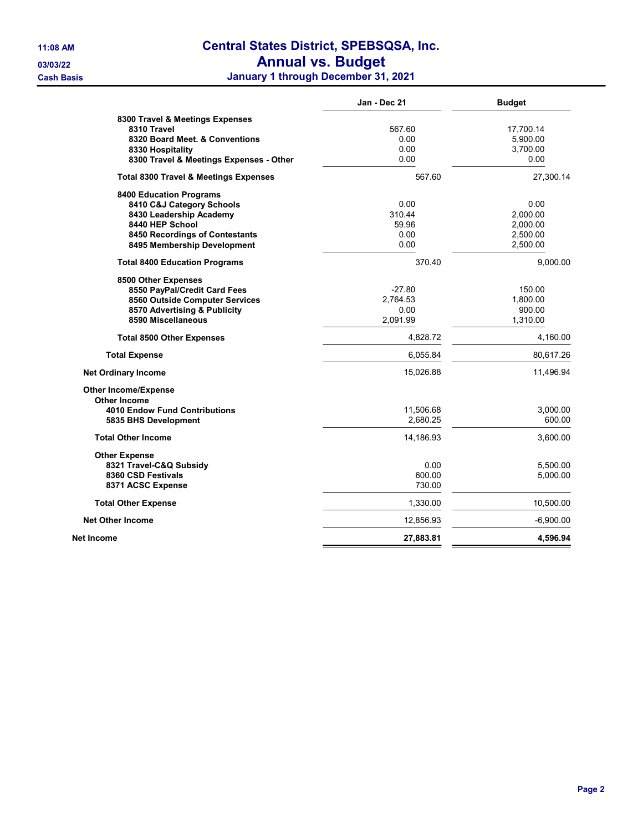# 11:08 AM Central States District, SPEBSQSA, Inc.

03/03/22 **Annual vs. Budget** 

Cash Basis January 1 through December 31, 2021

|                                                  | Jan - Dec 21 | <b>Budget</b> |
|--------------------------------------------------|--------------|---------------|
| 8300 Travel & Meetings Expenses                  |              |               |
| 8310 Travel                                      | 567.60       | 17,700.14     |
| 8320 Board Meet, & Conventions                   | 0.00         | 5,900.00      |
| 8330 Hospitality                                 | 0.00         | 3,700.00      |
| 8300 Travel & Meetings Expenses - Other          | 0.00         | 0.00          |
| <b>Total 8300 Travel &amp; Meetings Expenses</b> | 567.60       | 27,300.14     |
| <b>8400 Education Programs</b>                   |              |               |
| 8410 C&J Category Schools                        | 0.00         | 0.00          |
| 8430 Leadership Academy                          | 310.44       | 2,000.00      |
| 8440 HEP School                                  | 59.96        | 2,000.00      |
| 8450 Recordings of Contestants                   | 0.00         | 2,500.00      |
| 8495 Membership Development                      | 0.00         | 2,500.00      |
| <b>Total 8400 Education Programs</b>             | 370.40       | 9,000.00      |
| 8500 Other Expenses                              |              |               |
| 8550 PayPal/Credit Card Fees                     | $-27.80$     | 150.00        |
| 8560 Outside Computer Services                   | 2.764.53     | 1,800.00      |
| 8570 Advertising & Publicity                     | 0.00         | 900.00        |
| 8590 Miscellaneous                               | 2,091.99     | 1,310.00      |
| <b>Total 8500 Other Expenses</b>                 | 4,828.72     | 4,160.00      |
| <b>Total Expense</b>                             | 6,055.84     | 80,617.26     |
| <b>Net Ordinary Income</b>                       | 15,026.88    | 11,496.94     |
| <b>Other Income/Expense</b>                      |              |               |
| Other Income                                     |              |               |
| 4010 Endow Fund Contributions                    | 11,506.68    | 3,000.00      |
| 5835 BHS Development                             | 2,680.25     | 600.00        |
| <b>Total Other Income</b>                        | 14,186.93    | 3,600.00      |
| <b>Other Expense</b>                             |              |               |
| 8321 Travel-C&Q Subsidy                          | 0.00         | 5,500.00      |
| 8360 CSD Festivals                               | 600.00       | 5,000.00      |
| 8371 ACSC Expense                                | 730.00       |               |
| <b>Total Other Expense</b>                       | 1,330.00     | 10,500.00     |
| <b>Net Other Income</b>                          | 12,856.93    | $-6,900.00$   |
| Net Income                                       | 27,883.81    | 4,596.94      |
|                                                  |              |               |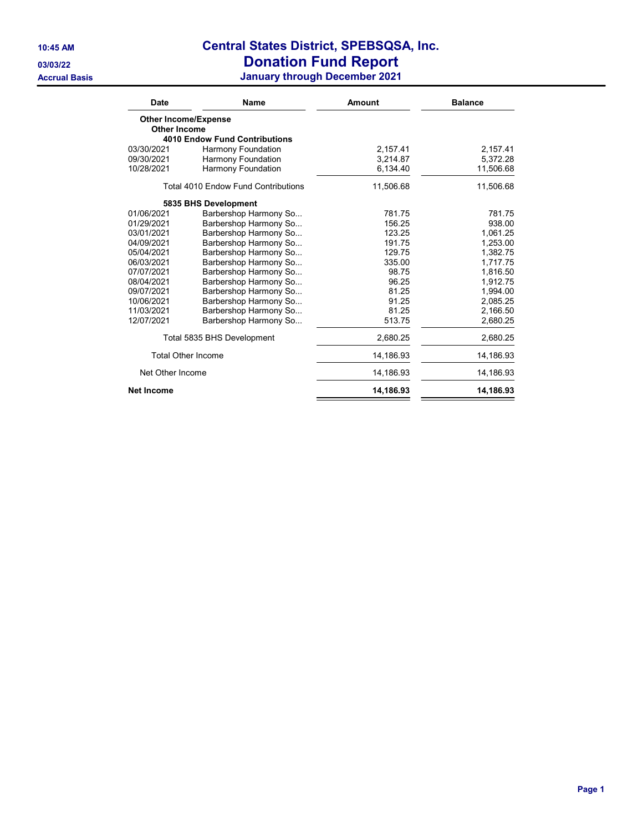### 10:45 AM Central States District, SPEBSQSA, Inc. 03/03/22 Donation Fund Report

Accrual Basis January through December 2021

| <b>Date</b>         | Name                                       | Amount    | <b>Balance</b> |
|---------------------|--------------------------------------------|-----------|----------------|
|                     | <b>Other Income/Expense</b>                |           |                |
| <b>Other Income</b> |                                            |           |                |
|                     | <b>4010 Endow Fund Contributions</b>       |           |                |
| 03/30/2021          | <b>Harmony Foundation</b>                  | 2,157.41  | 2,157.41       |
| 09/30/2021          | <b>Harmony Foundation</b>                  | 3.214.87  | 5,372.28       |
| 10/28/2021          | <b>Harmony Foundation</b>                  | 6,134.40  | 11,506.68      |
|                     | <b>Total 4010 Endow Fund Contributions</b> | 11,506.68 | 11,506.68      |
|                     | 5835 BHS Development                       |           |                |
| 01/06/2021          | Barbershop Harmony So                      | 781.75    | 781.75         |
| 01/29/2021          | Barbershop Harmony So                      | 156.25    | 938.00         |
| 03/01/2021          | Barbershop Harmony So                      | 123.25    | 1.061.25       |
| 04/09/2021          | Barbershop Harmony So                      | 191.75    | 1,253.00       |
| 05/04/2021          | Barbershop Harmony So                      | 129.75    | 1,382.75       |
| 06/03/2021          | Barbershop Harmony So                      | 335.00    | 1,717.75       |
| 07/07/2021          | Barbershop Harmony So                      | 98.75     | 1,816.50       |
| 08/04/2021          | Barbershop Harmony So                      | 96.25     | 1,912.75       |
| 09/07/2021          | Barbershop Harmony So                      | 81.25     | 1,994.00       |
| 10/06/2021          | Barbershop Harmony So                      | 91.25     | 2,085.25       |
| 11/03/2021          | Barbershop Harmony So                      | 81.25     | 2,166.50       |
| 12/07/2021          | Barbershop Harmony So                      | 513.75    | 2,680.25       |
|                     | Total 5835 BHS Development                 | 2,680.25  | 2,680.25       |
|                     | <b>Total Other Income</b>                  | 14,186.93 | 14,186.93      |
| Net Other Income    |                                            | 14,186.93 | 14,186.93      |
| <b>Net Income</b>   |                                            | 14,186.93 | 14,186.93      |